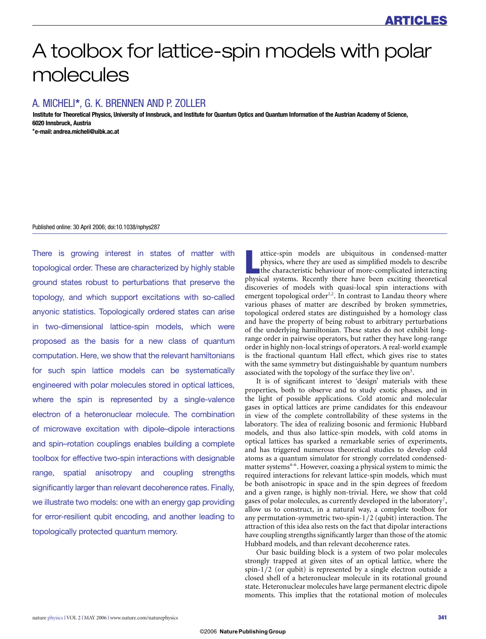# A toolbox for lattice-spin models with polar molecules

# A. MICHELI**\***, G. K. BRENNEN AND P. ZOLLER

**Institute for Theoretical Physics, University of Innsbruck, and Institute for Quantum Optics and Quantum Information of the Austrian Academy of Science, 6020 Innsbruck, Austria**

**\*e-mail: andrea.micheli@uibk.ac.at**

#### Published online: 30 April 2006; doi:10.1038/nphys287

There is growing interest in states of matter with topological order. These are characterized by highly stable ground states robust to perturbations that preserve the topology, and which support excitations with so-called anyonic statistics. Topologically ordered states can arise in two-dimensional lattice-spin models, which were proposed as the basis for a new class of quantum computation. Here, we show that the relevant hamiltonians for such spin lattice models can be systematically engineered with polar molecules stored in optical lattices, where the spin is represented by a single-valence electron of a heteronuclear molecule. The combination of microwave excitation with dipole–dipole interactions and spin–rotation couplings enables building a complete toolbox for effective two-spin interactions with designable range, spatial anisotropy and coupling strengths significantly larger than relevant decoherence rates. Finally, we illustrate two models: one with an energy gap providing for error-resilient qubit encoding, and another leading to topologically protected quantum memory.

attice-spin models are ubiquitous in condensed-matter physics, where they are used as simplified models to describe<br>the characteristic behaviour of more-complicated interacting<br>physical systems. Recently there have been ex attice-spin models are ubiquitous in condensed-matter physics, where they are used as simplified models to describe the characteristic behaviour of more-complicated interacting discoveries of models with quasi-local spin interactions with emergent topological order<sup>1,2</sup>. In contrast to Landau theory where various phases of matter are described by broken symmetries, topological ordered states are distinguished by a homology class and have the property of being robust to arbitrary perturbations of the underlying hamiltonian. These states do not exhibit longrange order in pairwise operators, but rather they have long-range order in highly non-local strings of operators. A real-world example is the fractional quantum Hall effect, which gives rise to states with the same symmetry but distinguishable by quantum numbers associated with the topology of the surface they live on<sup>3</sup>.

It is of significant interest to 'design' materials with these properties, both to observe and to study exotic phases, and in the light of possible applications. Cold atomic and molecular gases in optical lattices are prime candidates for this endeavour in view of the complete controllability of these systems in the laboratory. The idea of realizing bosonic and fermionic Hubbard models, and thus also lattice-spin models, with cold atoms in optical lattices has sparked a remarkable series of experiments, and has triggered numerous theoretical studies to develop cold atoms as a quantum simulator for strongly correlated condensedmatter systems<sup>4-6</sup>. However, coaxing a physical system to mimic the required interactions for relevant lattice-spin models, which must be both anisotropic in space and in the spin degrees of freedom and a given range, is highly non-trivial. Here, we show that cold gases of polar molecules, as currently developed in the laboratory<sup>7</sup>, allow us to construct, in a natural way, a complete toolbox for any permutation-symmetric two-spin-1/2 (qubit) interaction. The attraction of this idea also rests on the fact that dipolar interactions have coupling strengths significantly larger than those of the atomic Hubbard models, and than relevant decoherence rates.

Our basic building block is a system of two polar molecules strongly trapped at given sites of an optical lattice, where the spin-1/2 (or qubit) is represented by a single electron outside a closed shell of a heteronuclear molecule in its rotational ground state. Heteronuclear molecules have large permanent electric dipole moments. This implies that the rotational motion of molecules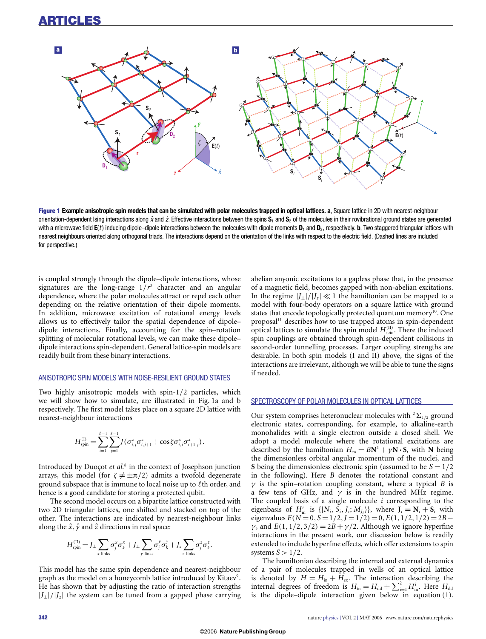

**Figure 1 Example anisotropic spin models that can be simulated with polar molecules trapped in optical lattices. a, Square lattice in 2D with nearest-neighbour** orientation-dependent Ising interactions along  $\hat{x}$  and  $\hat{z}$ . Effective interactions between the spins  $S_1$  and  $S_2$  of the molecules in their rovibrational ground states are generated with a microwave field  $E(t)$  inducing dipole–dipole interactions between the molecules with dipole moments  $D_1$  and  $D_2$ , respectively. **b**, Two staggered triangular lattices with nearest neighbours oriented along orthogonal triads. The interactions depend on the orientation of the links with respect to the electric field. (Dashed lines are included for perspective.)

is coupled strongly through the dipole–dipole interactions, whose signatures are the long-range  $1/r^3$  character and an angular dependence, where the polar molecules attract or repel each other depending on the relative orientation of their dipole moments. In addition, microwave excitation of rotational energy levels allows us to effectively tailor the spatial dependence of dipole– dipole interactions. Finally, accounting for the spin–rotation splitting of molecular rotational levels, we can make these dipole– dipole interactions spin-dependent. General lattice-spin models are readily built from these binary interactions.

# ANISOTROPIC SPIN MODELS WITH NOISE-RESILIENT GROUND STATES

Two highly anisotropic models with spin-1/2 particles, which we will show how to simulate, are illustrated in Fig. 1a and b respectively. The first model takes place on a square 2D lattice with nearest-neighbour interactions

$$
H_{\rm spin}^{(1)} = \sum_{i=1}^{\ell-1} \sum_{j=1}^{\ell-1} J(\sigma_{i,j}^z \sigma_{i,j+1}^z + \cos \zeta \sigma_{i,j}^x \sigma_{i+1,j}^x).
$$

Introduced by Duoçot et al.<sup>8</sup> in the context of Josephson junction arrays, this model (for  $\zeta \neq \pm \pi/2$ ) admits a twofold degenerate ground subspace that is immune to local noise up to  $\ell$  th order, and hence is a good candidate for storing a protected qubit.

The second model occurs on a bipartite lattice constructed with two 2D triangular lattices, one shifted and stacked on top of the other. The interactions are indicated by nearest-neighbour links along the  $\hat{x}, \hat{y}$  and  $\hat{z}$  directions in real space:

$$
H_{\text{spin}}^{(II)} = J_{\perp} \sum_{x \text{-links}} \sigma_j^x \sigma_k^x + J_{\perp} \sum_{y \text{-links}} \sigma_j^y \sigma_k^y + J_z \sum_{z \text{-links}} \sigma_j^z \sigma_k^z.
$$

This model has the same spin dependence and nearest-neighbour graph as the model on a honeycomb lattice introduced by Kitaev<sup>9</sup>. He has shown that by adjusting the ratio of interaction strengths |*J*⊥|/|*Jz*| the system can be tuned from a gapped phase carrying abelian anyonic excitations to a gapless phase that, in the presence of a magnetic field, becomes gapped with non-abelian excitations. In the regime  $|J_{\perp}|/|J_z| \ll 1$  the hamiltonian can be mapped to a model with four-body operators on a square lattice with ground states that encode topologically protected quantum memory<sup>10</sup>. One proposal<sup>11</sup> describes how to use trapped atoms in spin-dependent optical lattices to simulate the spin model  $H_{\text{spin}}^{(II)}$ . There the induced spin couplings are obtained through spin-dependent collisions in second-order tunnelling processes. Larger coupling strengths are desirable. In both spin models (I and II) above, the signs of the interactions are irrelevant, although we will be able to tune the signs if needed.

# SPECTROSCOPY OF POLAR MOLECULES IN OPTICAL LATTICES

Our system comprises heteronuclear molecules with  ${}^{2}\Sigma_{1/2}$  ground electronic states, corresponding, for example, to alkaline-earth monohalides with a single electron outside a closed shell. We adopt a model molecule where the rotational excitations are described by the hamiltonian  $H_m = B N^2 + \gamma N \cdot S$ , with N being the dimensionless orbital angular momentum of the nuclei, and **S** being the dimensionless electronic spin (assumed to be  $S = 1/2$ in the following). Here *B* denotes the rotational constant and  $\gamma$  is the spin–rotation coupling constant, where a typical *B* is a few tens of GHz, and  $\gamma$  is in the hundred MHz regime. The coupled basis of a single molecule *i* corresponding to the eigenbasis of  $H^i_m$  is  $\{|N_i, S_i, J_i; M_{J_i}\rangle\}$ , where  $J_i = N_i + S_i$  with eigenvalues  $E(N = 0, S = 1/2, J = 1/2) = 0, E(1, 1/2, 1/2) = 2B$ *γ*, and  $E(1,1/2,3/2) = 2B + \gamma/2$ . Although we ignore hyperfine interactions in the present work, our discussion below is readily extended to include hyperfine effects, which offer extensions to spin systems  $S > 1/2$ .

The hamiltonian describing the internal and external dynamics of a pair of molecules trapped in wells of an optical lattice is denoted by  $H = H_{in} + H_{ex}$ . The interaction describing the internal degrees of freedom is  $H_{\text{in}} = H_{\text{dd}} + \sum_{i=1}^{2} H_{\text{m}}^{i}$ . Here  $H_{\text{dd}}$ is the dipole–dipole interaction given below in equation (1).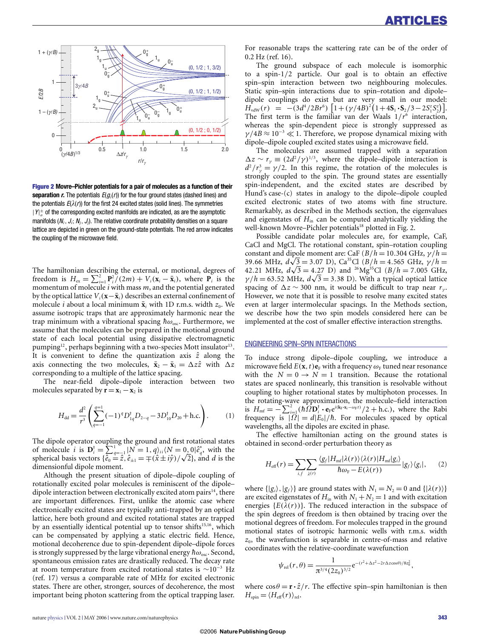

**Figure 2 Movre–Pichler potentials for a pair of molecules as a function of their separation**  $r$ **.** The potentials  $E(g_i(r))$  for the four ground states (dashed lines) and the potentials  $E(\lambda(r))$  for the first 24 excited states (solid lines). The symmetries  $|Y|_\sigma^\pm$  of the corresponding excited manifolds are indicated, as are the asymptotic manifolds  $(N_i, J_i; N_j, J_j)$ . The relative coordinate probability densities on a square lattice are depicted in green on the ground-state potentials. The red arrow indicates the coupling of the microwave field.

The hamiltonian describing the external, or motional, degrees of freedom is  $H_{\text{ex}} = \sum_{i=1}^{2} \mathbf{P}_{i}^{2} / (2m) + V_{i}(\mathbf{x}_{i} - \bar{\mathbf{x}}_{i}),$  where  $\mathbf{P}_{i}$  is the momentum of molecule *i* with mass *m*, and the potential generated by the optical lattice  $V_i$ ( $\mathbf{x}-\bar{\mathbf{x}}$ <sup>*i*</sup>) describes an external confinement of molecule *i* about a local minimum  $\bar{\mathbf{x}}_i$  with 1D r.m.s. width  $z_0$ . We assume isotropic traps that are approximately harmonic near the trap minimum with a vibrational spacing  $\hbar\omega_{\rm osc}$ . Furthermore, we assume that the molecules can be prepared in the motional ground state of each local potential using dissipative electromagnetic pumping<sup>12</sup>, perhaps beginning with a two-species Mott insulator<sup>13</sup>. It is convenient to define the quantization axis  $\hat{z}$  along the axis connecting the two molecules,  $\bar{\mathbf{x}}_2 - \bar{\mathbf{x}}_1 = \Delta z \hat{z}$  with  $\Delta z$ corresponding to a multiple of the lattice spacing.

The near-field dipole–dipole interaction between two molecules separated by  $\mathbf{r} = \mathbf{x}_1 - \mathbf{x}_2$  is

$$
H_{\rm dd} = \frac{d^2}{r^3} \left( \sum_{q=-1}^{q=1} (-1)^q D_{1q}^{\dagger} D_{2-q} - 3 D_{10}^{\dagger} D_{20} + \text{h.c.} \right). \tag{1}
$$

The dipole operator coupling the ground and first rotational states of molecule *i* is  $D_i^{\dagger} = \sum_{q=-1}^{1} |N = 1, q\rangle_{ii} \langle N = 0, 0 | \hat{e}_q^* \rangle$  with the spherical basis vectors  $\{\hat{e}_0 = \hat{z}, \hat{e}_{\pm 1} = \pm(\hat{x} \pm i\hat{y})/\sqrt{2}\}$ , and *d* is the dimensionful dipole moment.

Although the present situation of dipole–dipole coupling of rotationally excited polar molecules is reminiscent of the dipole– dipole interaction between electronically excited atom pairs<sup>14</sup>, there are important differences. First, unlike the atomic case where electronically excited states are typically anti-trapped by an optical lattice, here both ground and excited rotational states are trapped by an essentially identical potential up to tensor shifts<sup>15,16</sup>, which can be compensated by applying a static electric field. Hence, motional decoherence due to spin-dependent dipole–dipole forces is strongly suppressed by the large vibrational energy  $\hbar\omega_{\rm osc}$ . Second, spontaneous emission rates are drastically reduced. The decay rate at room temperature from excited rotational states is ∼10−<sup>3</sup> Hz (ref. 17) versus a comparable rate of MHz for excited electronic states. There are other, stronger, sources of decoherence, the most important being photon scattering from the optical trapping laser.

For reasonable traps the scattering rate can be of the order of 0.2 Hz (ref. 16).

The ground subspace of each molecule is isomorphic to a spin-1/2 particle. Our goal is to obtain an effective spin–spin interaction between two neighbouring molecules. Static spin–spin interactions due to spin–rotation and dipole– dipole couplings do exist but are very small in our model:  $H_{\text{vdW}}(r) = -(3d^4/2Br^6) \left[ 1 + (\gamma/4B)^2 (1 + 4S_1 \cdot S_2/3 - 2S_1^2 S_2^2) \right].$ The first term is the familiar van der Waals 1/*r*<sup>6</sup> interaction, whereas the spin-dependent piece is strongly suppressed as  $\gamma$ /4*B*  $\approx$  10<sup>-3</sup>  $\ll$  1. Therefore, we propose dynamical mixing with dipole–dipole coupled excited states using a microwave field.

The molecules are assumed trapped with a separation  $\Delta z \sim r_y \equiv (2d^2/\gamma)^{1/3}$ , where the dipole–dipole interaction is  $d^2/r^3 = \gamma/2$ . In this regime, the rotation of the molecules is strongly coupled to the spin. The ground states are essentially spin-independent, and the excited states are described by Hund's case-(c) states in analogy to the dipole–dipole coupled excited electronic states of two atoms with fine structure. Remarkably, as described in the Methods section, the eigenvalues and eigenstates of  $H<sub>in</sub>$  can be computed analytically yielding the well-known Movre–Pichler potentials<sup>18</sup> plotted in Fig. 2.

Possible candidate polar molecules are, for example, CaF, CaCl and MgCl. The rotational constant, spin–rotation coupling constant and dipole moment are: CaF  $(B/h = 10.304$  GHz,  $\gamma/h =$ 39.66 MHz,  $d\sqrt{3} = 3.07$  D), Ca<sup>35</sup>Cl (*B*/*h* = 4.565 GHz,  $\gamma/h =$ 42.21 MHz,  $d\sqrt{3} = 4.27$  D) and <sup>26</sup>Mg<sup>35</sup>Cl (*B*/*h* = 7.005 GHz,  $\gamma/h = 63.52 \text{ MHz}, d\sqrt{3} = 3.38 \text{ D}$ . With a typical optical lattice spacing of  $\Delta z \sim 300$  nm, it would be difficult to trap near  $r_{\gamma}$ . However, we note that it is possible to resolve many excited states even at larger intermolecular spacings. In the Methods section, we describe how the two spin models considered here can be implemented at the cost of smaller effective interaction strengths.

# ENGINEERING SPIN–SPIN INTERACTIONS

To induce strong dipole–dipole coupling, we introduce a microwave field  $E(\mathbf{x}, t)$ **e**<sub>F</sub> with a frequency  $\omega_F$  tuned near resonance with the  $N = 0 \rightarrow N = 1$  transition. Because the rotational states are spaced nonlinearly, this transition is resolvable without coupling to higher rotational states by multiphoton processes. In the rotating-wave approximation, the molecule–field interaction is  $H_{\text{mf}} = -\sum_{i=1}^{2} (\hbar \hat{\Omega} \mathbf{D}_{i}^{\dagger} \cdot \mathbf{e}_{F} e^{i(\mathbf{k}_{F} \cdot \mathbf{x}_{i} - \omega_{F} t)}/2 + \text{h.c.})$ , where the Rabi frequency is  $|\overrightarrow{\Omega}| = d|E_0|/\hbar$ . For molecules spaced by optical wavelengths, all the dipoles are excited in phase.

The effective hamiltonian acting on the ground states is obtained in second-order perturbation theory as

$$
H_{\text{eff}}(r) = \sum_{i,f} \sum_{\lambda(r)} \frac{\langle g_f | H_{\text{mf}} | \lambda(r) \rangle \langle \lambda(r) | H_{\text{mf}} | g_i \rangle}{\hbar \omega_{\text{F}} - E(\lambda(r))} | g_f \rangle \langle g_i |, \qquad (2)
$$

where  $\{|g_i\rangle, |g_f\rangle\}$  are ground states with  $N_1 = N_2 = 0$  and  $\{|\lambda(r)\rangle\}$ are excited eigenstates of  $H_{\text{in}}$  with  $N_1 + N_2 = 1$  and with excitation energies  ${E(\lambda(r))}$ . The reduced interaction in the subspace of the spin degrees of freedom is then obtained by tracing over the motional degrees of freedom. For molecules trapped in the ground motional states of isotropic harmonic wells with r.m.s. width *z*0, the wavefunction is separable in centre-of-mass and relative coordinates with the relative-coordinate wavefunction

$$
\psi_{\text{rel}}(r,\theta) = \frac{1}{\pi^{3/4} (2z_0)^{3/2}} e^{-(r^2 + \Delta z^2 - 2r\Delta z \cos\theta)/8z_0^2},
$$

where  $\cos\theta = \mathbf{r} \cdot \hat{z}/r$ . The effective spin–spin hamiltonian is then  $H_{spin} = \langle H_{\text{eff}}(r) \rangle_{\text{rel}}.$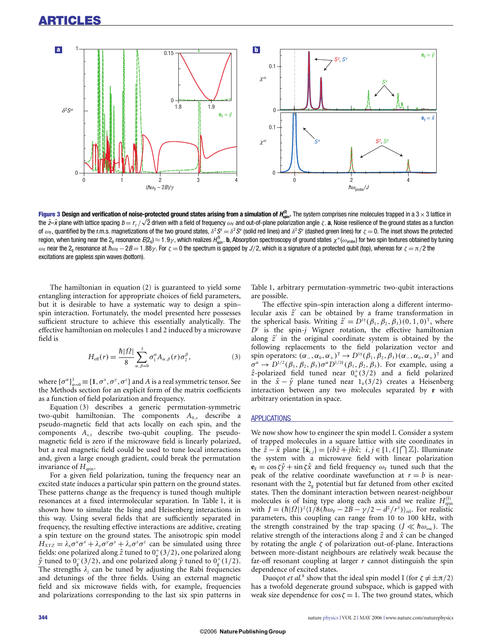

**Figure 3 Design and verification of noise-protected ground states arising from a simulation of**  $H_{\text{spin}}^{(0)}$ **. The system comprises nine molecules trapped in a 3 × 3 lattice in** the  $\hat{z}-\hat{x}$  plane with lattice spacing  $b = r_y/\sqrt{2}$  driven with a field of frequency  $\omega_F$  and out-of-plane polarization angle  $\zeta$ . **a**, Noise resilience of the ground states as a function of  $\omega_F$ , quantified by the r.m.s. magnetizations of the two ground states,  $\delta^2 S^z = \delta^2 S^x$  (solid red lines) and  $\delta^2 S^y$  (dashed green lines) for  $\zeta = 0$ . The inset shows the protected region, when tuning near the 2<sub>g</sub> resonance *E*(2<sub>g</sub>)  $\approx$  1.9 $\gamma$ , which realizes  $H_{\text{spin}}^{\scriptscriptstyle{(0)}}$ , **b**, Absorption spectroscopy of ground states  $\chi^a(\omega_{\text{probe}})$  for two spin textures obtained by tuning  $ω_F$  near the 2<sub>g</sub> resonance at  $\hbarω_F - 2B = 1.88\gamma$ . For  $\zeta = 0$  the spectrum is gapped by J/2, which is a signature of a protected qubit (top), whereas for  $\zeta = \pi/2$  the excitations are gapless spin waves (bottom).

The hamiltonian in equation (2) is guaranteed to yield some entangling interaction for appropriate choices of field parameters, but it is desirable to have a systematic way to design a spin– spin interaction. Fortunately, the model presented here possesses sufficient structure to achieve this essentially analytically. The effective hamiltonian on molecules 1 and 2 induced by a microwave field is

$$
H_{\text{eff}}(r) = \frac{\hbar |\Omega|}{8} \sum_{\alpha,\beta=0}^{3} \sigma_1^{\alpha} A_{\alpha,\beta}(r) \sigma_2^{\beta},
$$
 (3)

where  ${\{\sigma^{\alpha}\}}_{\alpha=0}^3 \equiv {1, \sigma^x, \sigma^y, \sigma^z}$  and *A* is a real symmetric tensor. See the Methods section for an explicit form of the matrix coefficients as a function of field polarization and frequency.

Equation (3) describes a generic permutation-symmetric two-qubit hamiltonian. The components  $A_{0,s}$  describe a pseudo-magnetic field that acts locally on each spin, and the components  $A_{s,t}$  describe two-qubit coupling. The pseudomagnetic field is zero if the microwave field is linearly polarized, but a real magnetic field could be used to tune local interactions and, given a large enough gradient, could break the permutation invariance of  $H_{spin}$ .

For a given field polarization, tuning the frequency near an excited state induces a particular spin pattern on the ground states. These patterns change as the frequency is tuned though multiple resonances at a fixed intermolecular separation. In Table 1, it is shown how to simulate the Ising and Heisenberg interactions in this way. Using several fields that are sufficiently separated in frequency, the resulting effective interactions are additive, creating a spin texture on the ground states. The anisotropic spin model  $H_{XYZ} = \lambda_x \sigma^x \sigma^x + \lambda_y \sigma^y \sigma^y + \lambda_z \sigma^z \sigma^z$  can be simulated using three fields: one polarized along  $\hat{z}$  tuned to  $0^{+}(3/2)$ , one polarized along  $\hat{y}$  tuned to  $0_g^-(3/2)$ , and one polarized along  $\hat{y}$  tuned to  $0_g^+(1/2)$ . The strengths  $\lambda_i$  can be tuned by adjusting the Rabi frequencies and detunings of the three fields. Using an external magnetic field and six microwave fields with, for example, frequencies and polarizations corresponding to the last six spin patterns in Table 1, arbitrary permutation-symmetric two-qubit interactions are possible.

The effective spin–spin interaction along a different intermolecular axis  $\hat{z}^{\prime}$  can be obtained by a frame transformation in the spherical basis. Writing  $\hat{z}^{\prime} = D^{1\dagger}(\beta_1, \beta_2, \beta_3)(0, 1, 0)^T$ , where  $D^j$  is the spin-*j* Wigner rotation, the effective hamiltonian along  $\hat{z}^{\prime}$  in the original coordinate system is obtained by the following replacements to the field polarization vector and spin operators:  $(\alpha_-, \alpha_0, \alpha_+)^T \to D^{1\dagger}(\beta_1, \beta_2, \beta_3) (\alpha_-, \alpha_0, \alpha_+)^T$  and  $\sigma^{\alpha} \rightarrow D^{1/2}(\beta_1, \beta_2, \beta_3) \sigma^{\alpha} D^{1/2 \dagger}(\beta_1, \beta_2, \beta_3)$ . For example, using a  $\hat{z}$ -polarized field tuned near  $0^+_u(3/2)$  and a field polarized in the  $\hat{x} - \hat{y}$  plane tuned near  $1_u(3/2)$  creates a Heisenberg interaction between any two molecules separated by **r** with arbitrary orientation in space.

#### **APPLICATIONS**

We now show how to engineer the spin model I. Consider a system of trapped molecules in a square lattice with site coordinates in the  $\hat{z} - \hat{x}$  plane  $\{\bar{x}_{i,j}\} = \{ib\hat{z} + jb\hat{x}; i, j \in [1, \ell] \cap \mathbb{Z}\}\)$ . Illuminate the system with a microwave field with linear polarization  ${\bf e}_F = \cos \zeta \hat{y} + \sin \zeta \hat{x}$  and field frequency  $\omega_F$  tuned such that the peak of the relative coordinate wavefunction at  $r = b$  is nearresonant with the  $2<sub>g</sub>$  potential but far detuned from other excited states. Then the dominant interaction between nearest-neighbour molecules is of Ising type along each axis and we realize  $H_{spin}^{(I)}$ with  $J = (\hbar |\Omega|)^2 \langle 1/8(\hbar \omega_F - 2B - \gamma/2 - d^2/r^3) \rangle_{rel}$ . For realistic parameters, this coupling can range from 10 to 100 kHz, with the strength constrained by the trap spacing ( $J \ll \hbar \omega_{\text{osc}}$ ). The relative strength of the interactions along  $\hat{z}$  and  $\hat{x}$  can be changed by rotating the angle  $\zeta$  of polarization out-of-plane. Interactions between more-distant neighbours are relatively weak because the far-off resonant coupling at larger *r* cannot distinguish the spin dependence of excited states.

Duoçot *et al.*<sup>8</sup> show that the ideal spin model I (for  $\zeta \neq \pm \pi/2$ ) has a twofold degenerate ground subspace, which is gapped with weak size dependence for  $\cos \zeta = 1$ . The two ground states, which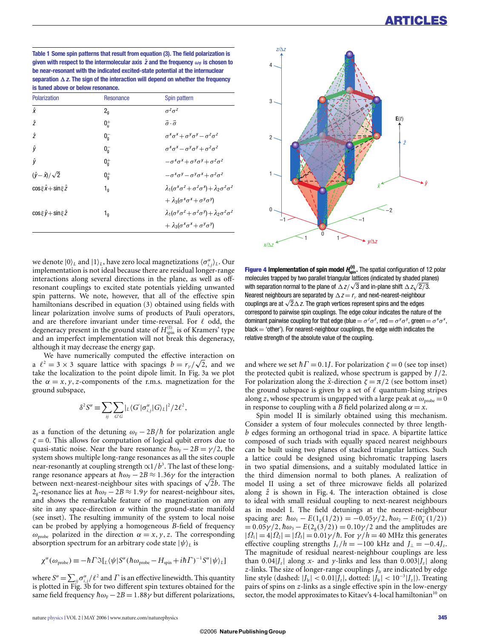**Table 1 Some spin patterns that result from equation (3). The field polarization is given with respect to the intermolecular axis**  $\hat{z}$  **and the frequency**  $\omega_{\text{F}}$  is chosen to **be near-resonant with the indicated excited-state potential at the internuclear** separation  $\Delta z$ . The sign of the interaction will depend on whether the frequency **is tuned above or below resonance.**

| Polarization                          | Resonance          | Spin pattern                                                             |
|---------------------------------------|--------------------|--------------------------------------------------------------------------|
| $\hat{\mathbf{x}}$                    | $2_{q}$            | $\sigma^z \sigma^z$                                                      |
| $\hat{z}$                             | 0 <sub>ii</sub>    | $\vec{\sigma} \cdot \vec{\sigma}$                                        |
| $\hat{z}$                             | $0_{q}^{-}$        | $\sigma^x \sigma^x + \sigma^y \sigma^y - \sigma^z \sigma^z$              |
| ŷ                                     | $0_{\mathsf{q}}^-$ | $\sigma^X \sigma^X - \sigma^Y \sigma^Y + \sigma^Z \sigma^Z$              |
| ŷ                                     | $0_q^+$            | $-\sigma^x\sigma^x+\sigma^y\sigma^y+\sigma^z\sigma^z$                    |
| $(\hat{y}-\hat{x})/\sqrt{2}$          | $0_{\mathsf{q}}^+$ | $-\sigma^X\sigma^Y-\sigma^Y\sigma^X+\sigma^Z\sigma^Z$                    |
| $\cos \xi \hat{x} + \sin \xi \hat{z}$ | $1_{\mathfrak{q}}$ | $\lambda_1(\sigma^x\sigma^z+\sigma^z\sigma^x)+\lambda_2\sigma^z\sigma^z$ |
|                                       |                    | $+\lambda_3(\sigma^x\sigma^x+\sigma^y\sigma^y)$                          |
| $\cos \xi \hat{v} + \sin \xi \hat{z}$ | $1_{\mathfrak{q}}$ | $\lambda_1(\sigma^y\sigma^z+\sigma^z\sigma^y)+\lambda_2\sigma^z\sigma^z$ |
|                                       |                    | $+\lambda_3(\sigma^x\sigma^x+\sigma^y\sigma^y)$                          |
|                                       |                    |                                                                          |



we denote  $|0\rangle_L$  and  $|1\rangle_L$ , have zero local magnetizations  $\langle \sigma_{i,j}^{\alpha} \rangle_L$ . Our implementation is not ideal because there are residual longer-range interactions along several directions in the plane, as well as offresonant couplings to excited state potentials yielding unwanted spin patterns. We note, however, that all of the effective spin hamiltonians described in equation (3) obtained using fields with linear polarization involve sums of products of Pauli operators, and are therefore invariant under time-reversal. For  $\ell$  odd, the degeneracy present in the ground state of  $H_{\text{spin}}^{(\text{I})}$  is of Kramers' type and an imperfect implementation will not break this degeneracy, although it may decrease the energy gap.

We have numerically computed the effective interaction on a  $l^2 = 3 \times 3$  square lattice with spacings  $b = r_\gamma/\sqrt{2}$ , and we take the localization to the point dipole limit. In Fig. 3a we plot the  $\alpha = x, y, z$ -components of the r.m.s. magnetization for the ground subspace,

$$
\delta^2 S^{\alpha} \equiv \sum_{ij} \sum_{G'G} |_{L} \langle G' | \sigma_{i,j}^{\alpha} | G \rangle_{L} |^{2} / 2 \ell^{2},
$$

as a function of the detuning  $\omega_F - 2B/\hbar$  for polarization angle  $\zeta = 0$ . This allows for computation of logical qubit errors due to quasi-static noise. Near the bare resonance  $\hbar\omega_F - 2B = \gamma/2$ , the system shows multiple long-range resonances as all the sites couple near-resonantly at coupling strength  $\alpha$ 1/*b*<sup>3</sup>. The last of these longrange resonance appears at  $\hbar\omega_F - 2B \approx 1.36\gamma$  for the interaction between next-nearest-neighbour sites with spacings of  $\sqrt{2}b$ . The 2<sub>g</sub>-resonance lies at  $\hbar\omega$ <sub>F</sub> − 2*B* ≈ 1.9γ for nearest-neighbour sites, and shows the remarkable feature of no magnetization on any site in any space-direction  $\alpha$  within the ground-state manifold (see inset). The resulting immunity of the system to local noise can be probed by applying a homogeneous *B*-field of frequency  $\omega_{\text{probe}}$  polarized in the direction  $\alpha = x, y, z$ . The corresponding absorption spectrum for an arbitrary code state  $|\psi\rangle_L$  is

$$
\chi^{\alpha}(\omega_{\text{probe}}) \equiv -\hbar \Gamma \Im[\chi(\psi) S^{\alpha}(\hbar \omega_{\text{probe}} - H_{\text{spin}} + i\hbar \Gamma)^{-1} S^{\alpha} |\psi\rangle_{L}]
$$

where  $S^{\alpha} = \sum_{ij} \sigma^{\alpha}_{i,j} / \ell^2$  and  $\Gamma$  is an effective linewidth. This quantity is plotted in Fig. 3b for two different spin textures obtained for the same field frequency  $\hbar\omega_F - 2B = 1.88\gamma$  but different polarizations,

**Figure 4 Implementation of spin model**  $H_{\text{spin}}^{(II)}$ **. The spatial configuration of 12 polar** molecules trapped by two parallel triangular lattices (indicated by shaded planes) with separation normal to the plane of  $\Delta z/\sqrt{3}$  and in-plane shift  $\Delta z/\sqrt{2}/3$ . Nearest neighbours are separated by  $\Delta z = r_y$  and next-nearest-neighbour couplings are at  $\sqrt{2}\Delta z$ . The graph vertices represent spins and the edges correspond to pairwise spin couplings. The edge colour indicates the nature of the dominant pairwise coupling for that edge (blue  $= \sigma^z \sigma^z$ , red  $= \sigma^y \sigma^y$ , green  $= \sigma^x \sigma^x$ ,  $black = 'other'.$  For nearest-neighbour couplings, the edge width indicates the relative strength of the absolute value of the coupling.

and where we set  $\hbar\Gamma$  = 0.1*J*. For polarization  $\zeta$  = 0 (see top inset) the protected qubit is realized, whose spectrum is gapped by *J*/2. For polarization along the  $\hat{x}$ -direction  $\zeta = \pi/2$  (see bottom inset) the ground subspace is given by a set of  $\ell$  quantum-Ising stripes along *z*, whose spectrum is ungapped with a large peak at  $\omega_{\text{probe}} = 0$ in response to coupling with a *B* field polarized along  $\alpha = x$ .

Spin model II is similarly obtained using this mechanism. Consider a system of four molecules connected by three length*b* edges forming an orthogonal triad in space. A bipartite lattice composed of such triads with equally spaced nearest neighbours can be built using two planes of stacked triangular lattices. Such a lattice could be designed using bichromatic trapping lasers in two spatial dimensions, and a suitably modulated lattice in the third dimension normal to both planes. A realization of model II using a set of three microwave fields all polarized along  $\hat{z}$  is shown in Fig. 4. The interaction obtained is close to ideal with small residual coupling to next-nearest neighbours as in model I. The field detunings at the nearest-neighbour spacing are:  $\hbar \omega_1 - E(1_g(1/2)) = -0.05\gamma/2$ ,  $\hbar \omega_2 - E(0_g(1/2))$  $= 0.05\gamma/2$ ,  $\hbar\omega_3 - E(2_g(3/2)) = 0.10\gamma/2$  and the amplitudes are  $| \Omega_1 | = 4 | \Omega_2 | = | \Omega_3 | = 0.01 \gamma / \hbar$ . For  $\gamma / \hbar = 40$  MHz this generates effective coupling strengths  $J_z/h = -100$  kHz and  $J_{\perp} = -0.4J_z$ . The magnitude of residual nearest-neighbour couplings are less than  $0.04|J_z|$  along *x*- and *y*-links and less than  $0.003|J_z|$  along *z*-links. The size of longer-range couplings  $J<sub>lr</sub>$  are indicated by edge line style (dashed:  $|J_{1r}| < 0.01 |J_z|$ , dotted:  $|J_{1r}| < 10^{-3} |J_z|$ ). Treating pairs of spins on *z*-links as a single effective spin in the low-energy sector, the model approximates to Kitaev's 4-local hamiltonian<sup>10</sup> on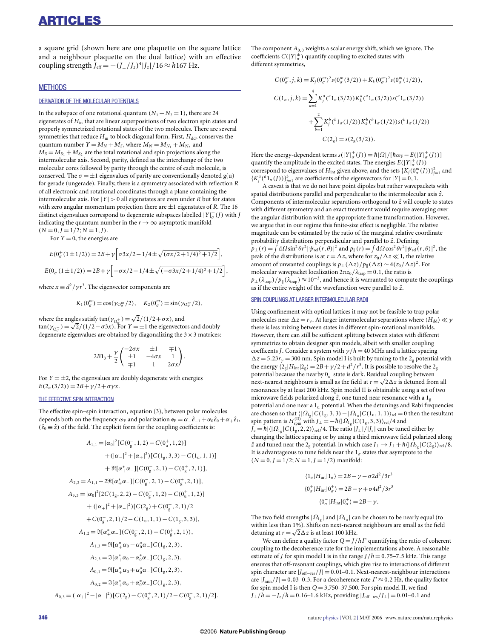a square grid (shown here are one plaquette on the square lattice and a neighbour plaquette on the dual lattice) with an effective coupling strength  $J_{\text{eff}} = -(J_{\perp}/J_z)^4 |J_z| / 16 \approx h 167 \text{ Hz}.$ 

## **MFTHODS**

#### DERIVATION OF THE MOLECULAR POTENTIALS

In the subspace of one rotational quantum  $(N_1 + N_2 = 1)$ , there are 24 eigenstates of *H*in that are linear superpositions of two electron spin states and properly symmetrized rotational states of the two molecules. There are several symmetries that reduce  $H_{\text{in}}$  to block diagonal form. First,  $H_{\text{dd}}$ , conserves the quantum number  $Y = M_N + M_S$ , where  $M_N = M_{N_1} + M_{N_2}$  and  $M_S = M_{S_1} + M_{S_2}$  are the total rotational and spin projections along the intermolecular axis. Second, parity, defined as the interchange of the two molecular cores followed by parity through the centre of each molecule, is conserved. The  $\sigma = \pm 1$  eigenvalues of parity are conventionally denoted g(u) for gerade (ungerade). Finally, there is a symmetry associated with reflection *R* of all electronic and rotational coordinates through a plane containing the intermolecular axis. For  $|Y| > 0$  all eigenstates are even under *R* but for states with zero angular momentum projection there are  $\pm 1$  eigenstates of *R*. The 16 distinct eigenvalues correspond to degenerate subspaces labelled  $|Y|_{\sigma}^{\pm}(J)$  with *J* indicating the quantum number in the  $r \rightarrow \infty$  asymptotic manifold  $(N = 0, J = 1/2; N = 1, J).$ 

For  $Y = 0$ , the energies are

$$
E(0_{\sigma}^{+}(1 \pm 1/2)) = 2B + \gamma \left[\sigma 3x/2 - 1/4 \pm \sqrt{(\sigma x/2 + 1/4)^2 + 1/2}\right],
$$
  

$$
E(0_{\sigma}^{-}(1 \pm 1/2)) = 2B + \gamma \left[-\sigma x/2 - 1/4 \pm \sqrt{(-\sigma 3x/2 + 1/4)^2 + 1/2}\right],
$$

where  $x \equiv d^2 / \gamma r^3$ . The eigenvector components are

$$
K_1(0^m_\sigma) = \cos(\gamma_{0^m_\sigma}/2), \quad K_2(0^m_\sigma) = \sin(\gamma_{0^m_\sigma}/2),
$$

where the angles satisfy  $\tan(\gamma_{\text{O}_g^+}) = \sqrt{2}/(1/2 + \sigma x)$ , and tan( $\gamma_{0}$ <sub>o</sub>) = √2/(1/2−σ3*x*). For *Y* = ±1 the eigenvectors and doubly degenerate eigenvalues are obtained by diagonalizing the  $3 \times 3$  matrices:

$$
2B1_3+\frac{\gamma}{2}\begin{pmatrix}-2\sigma x & \pm 1 & \mp 1\\ \pm 1 & -4\sigma x & 1\\ \mp 1 & 1 & 2\sigma x\end{pmatrix}.
$$

For  $Y = \pm 2$ , the eigenvalues are doubly degenerate with energies  $E(2_{\sigma}(3/2)) = 2B + \gamma/2 + \sigma \gamma x$ .

## THE EFFECTIVE SPIN INTERACTION

The effective spin–spin interaction, equation (3), between polar molecules depends both on the frequency  $\omega_F$  and polarization  $\mathbf{e}_F = \alpha_- \hat{e}_{-1} + \alpha_0 \hat{e}_0 + \alpha_+ \hat{e}_1$ ,  $(\hat{e}_0 \equiv \hat{z})$  of the field. The explicit form for the coupling coefficients is:

$$
A_{1,1} = |\alpha_0|^2 [C(0_g^-, 1, 2) - C(0_u^+, 1, 2)]
$$
  
+  $(|\alpha_-|^2 + |\alpha_+|^2) [C(1_g, 3, 3) - C(1_u, 1, 1)]$   
+  $\Re[\alpha_+^* \alpha_-][C(0_g^-, 2, 1) - C(0_g^+, 2, 1)],$   
 $A_{2,2} = A_{1,1} - 2\Re[\alpha_+^* \alpha_-][C(0_g^-, 2, 1) - C(0_g^+, 2, 1)],$   
 $A_{3,3} = |\alpha_0|^2 [2C(1_g, 2, 2) - C(0_g^-, 1, 2) - C(0_u^+, 1, 2)]$   
+  $(|\alpha_+|^2 + |\alpha_-|^2) [C(2_g) + C(0_g^+, 2, 1)/2$   
+  $C(0_g^-, 2, 1)/2 - C(1_u, 1, 1) - C(1_g, 3, 3)],$   
 $A_{1,2} = \Im[\alpha_+^* \alpha_-] (C(0_g^-, 2, 1) - C(0_g^+, 2, 1)),$   
 $A_{1,3} = \Re[\alpha_+^* \alpha_0 - \alpha_0^* \alpha_-] C(1_g, 2, 3),$   
 $A_{2,3} = \Im[\alpha_+^* \alpha_0 - \alpha_0^* \alpha_-] C(1_g, 2, 3),$   
 $A_{0,1} = \Re[\alpha_+^* \alpha_0 + \alpha_0^* \alpha_-] C(1_g, 2, 3),$   
 $A_{0,2} = \Im[\alpha_+^* \alpha_0 + \alpha_0^* \alpha_-] C(1_g, 2, 3),$   
 $A_{0,3} = (|\alpha_+|^2 - |\alpha_-|^2) [C(2_g) - C(0_g^+, 2, 1)/2 - C(0_g^-, 2, 1)/2].$ 

The component  $A_{0,0}$  weights a scalar energy shift, which we ignore. The coefficients  $C(|Y|_{\sigma}^{\pm})$  quantify coupling to excited states with different symmetries,

$$
C(0_{\sigma}^{m}, j, k) = K_{j}(0_{\sigma}^{m})^{2} s(0_{\sigma}^{m}(3/2)) + K_{k}(0_{\sigma}^{m})^{2} s(0_{\sigma}^{m}(1/2)),
$$
  
\n
$$
C(1_{\sigma}, j, k) = \sum_{\alpha=1}^{4} K_{j}^{a}({}^{a}1_{\sigma}(3/2)) K_{k}^{a}({}^{a}1_{\sigma}(3/2)) s({}^{a}1_{\sigma}(3/2))
$$
  
\n
$$
+ \sum_{b=1}^{2} K_{j}^{b}({}^{b}1_{\sigma}(1/2)) K_{k}^{b}({}^{b}1_{\sigma}(1/2)) s({}^{b}1_{\sigma}(1/2))
$$
  
\n
$$
C(2_{g}) = s(2_{g}(3/2)).
$$

Here the energy-dependent terms  $s(|Y|_{\sigma}^{\pm}(J)) = \hbar |\Omega| / [\hbar \omega_F - E(|Y|_{\sigma}^{\pm}(J))]$ quantify the amplitude in the excited states. The energies  $E(|Y|_{\sigma}^{\pm}(J))$ correspond to eigenvalues of *H*<sub>int</sub> given above, and the sets  $\{K_j(0^m_\sigma(J))\}_{j=1}^2$  and  ${K_j^a}^a(1_\sigma(J))\}_{j=1}^3$  are coefficients of the eigenvectors for  $|Y|=0,1$ .

A caveat is that we do not have point dipoles but rather wavepackets with spatial distributions parallel and perpendicular to the intermolecular axis  $\hat{z}$ . Components of intermolecular separations orthogonal to  $\hat{z}$  will couple to states with different symmetry and an exact treatment would require averaging over the angular distribution with the appropriate frame transformation. However, we argue that in our regime this finite-size effect is negligible. The relative magnitude can be estimated by the ratio of the marginal relative coordinate probability distributions perpendicular and parallel to *z*ˆ. Defining  $p_{\perp}(r) = \int d\Omega \sin^2 \theta r^2 |\psi_{rel}(r,\theta)|^2$  and  $p_{\parallel}(r) = \int d\Omega \cos^2 \theta r^2 |\psi_{rel}(r,\theta)|^2$ , the peak of the distributions is at  $r = \Delta z$ , where for  $z_0 / \Delta z \ll 1$ , the relative amount of unwanted couplings is  $p_{\perp}(\Delta z)/p_{\parallel}(\Delta z) \sim 4(z_0/\Delta z)^2$ . For molecular wavepacket localization  $2πz_0 / λ_{trap} = 0.1$ , the ratio is  $p_{\perp}(\lambda_{\text{trap}})/p_{\parallel}(\lambda_{\text{trap}}) \approx 10^{-3}$ , and hence it is warranted to compute the couplings as if the entire weight of the wavefunction were parallel to *z*ˆ.

#### SPIN COUPLINGS AT LARGER INTERMOLECULAR RADII

Using confinement with optical lattices it may not be feasible to trap polar molecules near  $\Delta z = r_{\gamma}$ . At larger intermolecular separations where  $\langle H_{dd} \rangle \ll \gamma$ there is less mixing between states in different spin-rotational manifolds. However, there can still be sufficient splitting between states with different symmetries to obtain designer spin models, albeit with smaller coupling coefficents *J*. Consider a system with  $\gamma/h = 40$  MHz and a lattice spacing  $\Delta z = 5.23r_y = 300$  nm. Spin model I is built by tuning to the 2<sub>g</sub> potential with the energy  $\langle 2_g|H_{int}|2_g\rangle = 2B + \gamma/2 + d^2/r^3$ . It is possible to resolve the  $2_g$ potential because the nearby  $0^-_u$  state is dark. Residual coupling between next-nearest neighbours is small as the field at  $r = \sqrt{2}\Delta z$  is detuned from all resonances by at least 200 kHz. Spin model II is obtainable using a set of two microwave fields polarized along  $\hat{z}$ , one tuned near resonance with a  $1_{g}$ potential and one near a  $1<sub>u</sub>$  potential. When the detunings and Rabi frequencies are chosen so that  $\langle |\Omega_{\rm 1g}| C(1_{\rm g}, 3, 3) - |\Omega_{\rm 1u}| C(1_{\rm u}, 1, 1) \rangle_{\rm rel} = 0$  then the resultant spin pattern is *H*<sub>(spin</sub> with *J*<sub>⊥</sub> = −*h* $\langle |\Omega_{\rm 1g}| C(1_{\rm g}, 3, 3) \rangle_{\rm rel}/4$  and  $J_z = \hbar |\langle |\Omega_{1g}| C(\overline{1_g}, 2, 2) \rangle_{rel} / 4$ . The ratio  $|J_{\perp}| / |J_z|$  can be tuned either by changing the lattice spacing or by using a third microwave field polarized along  $\hat{z}$  and tuned near the 2<sub>g</sub> potential, in which case *J*<sub>⊥</sub> → *J*<sub>⊥</sub> + *h* $\langle \Omega_{2g} | C(2g) \rangle_{rel} / 8$ . It is advantageous to tune fields near the  $1<sub>\sigma</sub>$  states that asymptote to the  $(N = 0, J = 1/2; N = 1, J = 1/2)$  manifold:

$$
\langle 1_{\sigma} | H_{int} | 1_{\sigma} \rangle = 2B - \gamma - \sigma 2d^2 / 3r^3
$$

$$
\langle 0_{\sigma}^{+} | H_{int} | 0_{\sigma}^{+} \rangle = 2B - \gamma + \sigma 4d^2 / 3r^3
$$

$$
\langle 0_{\sigma}^{-} | H_{int} | 0_{\sigma}^{+} \rangle = 2B - \gamma.
$$

The two field strengths  $|\Omega_{1g}|$  and  $|\Omega_{1g}|$  can be chosen to be nearly equal (to within less than 1%). Shifts on next-nearest neighbours are small as the field detuning at  $r = \sqrt{2} \Delta z$  is at least 100 kHz.

We can define a quality factor *Q* = *J*/*h*Γ quantifying the ratio of coherent coupling to the decoherence rate for the implementations above. A reasonable estimate of *J* for spin model I is in the range  $J/h = 0.75-7.5$  kHz. This range ensures that off-resonant couplings, which give rise to interactions of different spin character are  $|J_{\text{off-res}}/J|$  = 0.01–0.1. Next-nearest-neighbour interactions are  $|J_{nnn}/J|$  = 0.03–0.3. For a decoherence rate  $\Gamma \approx 0.2$  Hz, the quality factor for spin model I is then  $Q = 3,750-37,500$ . For spin model II, we find  $J_{\perp}/h = -J_z/h = 0.16$ –1.6 kHz, providing  $|J_{\text{off-res}}/J_{\perp}| = 0.01$ –0.1 and